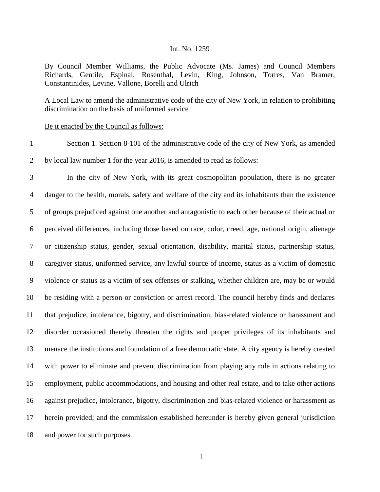## Int. No. 1259

By Council Member Williams, the Public Advocate (Ms. James) and Council Members Richards, Gentile, Espinal, Rosenthal, Levin, King, Johnson, Torres, Van Bramer, Constantinides, Levine, Vallone, Borelli and Ulrich

A Local Law to amend the administrative code of the city of New York, in relation to prohibiting discrimination on the basis of uniformed service

## Be it enacted by the Council as follows:

 Section 1. Section 8-101 of the administrative code of the city of New York, as amended by local law number 1 for the year 2016, is amended to read as follows:

 In the city of New York, with its great cosmopolitan population, there is no greater danger to the health, morals, safety and welfare of the city and its inhabitants than the existence of groups prejudiced against one another and antagonistic to each other because of their actual or perceived differences, including those based on race, color, creed, age, national origin, alienage or citizenship status, gender, sexual orientation, disability, marital status, partnership status, caregiver status, uniformed service, any lawful source of income, status as a victim of domestic violence or status as a victim of sex offenses or stalking, whether children are, may be or would be residing with a person or conviction or arrest record. The council hereby finds and declares that prejudice, intolerance, bigotry, and discrimination, bias-related violence or harassment and disorder occasioned thereby threaten the rights and proper privileges of its inhabitants and menace the institutions and foundation of a free democratic state. A city agency is hereby created with power to eliminate and prevent discrimination from playing any role in actions relating to employment, public accommodations, and housing and other real estate, and to take other actions against prejudice, intolerance, bigotry, discrimination and bias-related violence or harassment as herein provided; and the commission established hereunder is hereby given general jurisdiction and power for such purposes.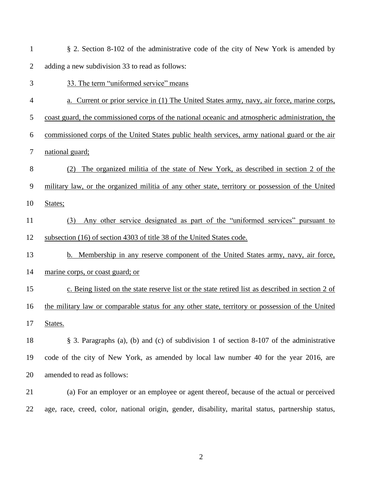| $\mathbf{1}$   | § 2. Section 8-102 of the administrative code of the city of New York is amended by               |
|----------------|---------------------------------------------------------------------------------------------------|
| $\overline{2}$ | adding a new subdivision 33 to read as follows:                                                   |
| 3              | 33. The term "uniformed service" means                                                            |
| 4              | a. Current or prior service in (1) The United States army, navy, air force, marine corps,         |
| 5              | coast guard, the commissioned corps of the national oceanic and atmospheric administration, the   |
| 6              | commissioned corps of the United States public health services, army national guard or the air    |
| 7              | national guard;                                                                                   |
| 8              | The organized militia of the state of New York, as described in section 2 of the                  |
| 9              | military law, or the organized militia of any other state, territory or possession of the United  |
| 10             | States;                                                                                           |
| 11             | Any other service designated as part of the "uniformed services" pursuant to<br>(3)               |
| 12             | subsection (16) of section 4303 of title 38 of the United States code.                            |
| 13             | b. Membership in any reserve component of the United States army, navy, air force,                |
| 14             | marine corps, or coast guard; or                                                                  |
| 15             | c. Being listed on the state reserve list or the state retired list as described in section 2 of  |
| 16             | the military law or comparable status for any other state, territory or possession of the United  |
| 17             | States.                                                                                           |
| 18             | § 3. Paragraphs (a), (b) and (c) of subdivision 1 of section 8-107 of the administrative          |
| 19             | code of the city of New York, as amended by local law number 40 for the year 2016, are            |
| 20             | amended to read as follows:                                                                       |
| 21             | (a) For an employer or an employee or agent thereof, because of the actual or perceived           |
| 22             | age, race, creed, color, national origin, gender, disability, marital status, partnership status, |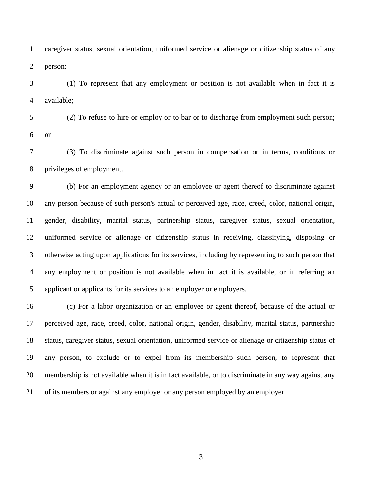caregiver status, sexual orientation, uniformed service or alienage or citizenship status of any person:

 (1) To represent that any employment or position is not available when in fact it is available;

 (2) To refuse to hire or employ or to bar or to discharge from employment such person; or

 (3) To discriminate against such person in compensation or in terms, conditions or privileges of employment.

 (b) For an employment agency or an employee or agent thereof to discriminate against any person because of such person's actual or perceived age, race, creed, color, national origin, gender, disability, marital status, partnership status, caregiver status, sexual orientation, uniformed service or alienage or citizenship status in receiving, classifying, disposing or otherwise acting upon applications for its services, including by representing to such person that any employment or position is not available when in fact it is available, or in referring an applicant or applicants for its services to an employer or employers.

 (c) For a labor organization or an employee or agent thereof, because of the actual or perceived age, race, creed, color, national origin, gender, disability, marital status, partnership status, caregiver status, sexual orientation, uniformed service or alienage or citizenship status of any person, to exclude or to expel from its membership such person, to represent that membership is not available when it is in fact available, or to discriminate in any way against any of its members or against any employer or any person employed by an employer.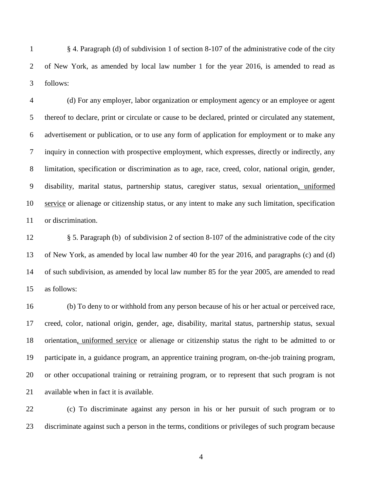§ 4. Paragraph (d) of subdivision 1 of section 8-107 of the administrative code of the city of New York, as amended by local law number 1 for the year 2016, is amended to read as follows:

 (d) For any employer, labor organization or employment agency or an employee or agent thereof to declare, print or circulate or cause to be declared, printed or circulated any statement, advertisement or publication, or to use any form of application for employment or to make any inquiry in connection with prospective employment, which expresses, directly or indirectly, any limitation, specification or discrimination as to age, race, creed, color, national origin, gender, disability, marital status, partnership status, caregiver status, sexual orientation, uniformed service or alienage or citizenship status, or any intent to make any such limitation, specification or discrimination.

 § 5. Paragraph (b) of subdivision 2 of section 8-107 of the administrative code of the city of New York, as amended by local law number 40 for the year 2016, and paragraphs (c) and (d) of such subdivision, as amended by local law number 85 for the year 2005, are amended to read as follows:

 (b) To deny to or withhold from any person because of his or her actual or perceived race, creed, color, national origin, gender, age, disability, marital status, partnership status, sexual orientation, uniformed service or alienage or citizenship status the right to be admitted to or participate in, a guidance program, an apprentice training program, on-the-job training program, or other occupational training or retraining program, or to represent that such program is not available when in fact it is available.

 (c) To discriminate against any person in his or her pursuit of such program or to discriminate against such a person in the terms, conditions or privileges of such program because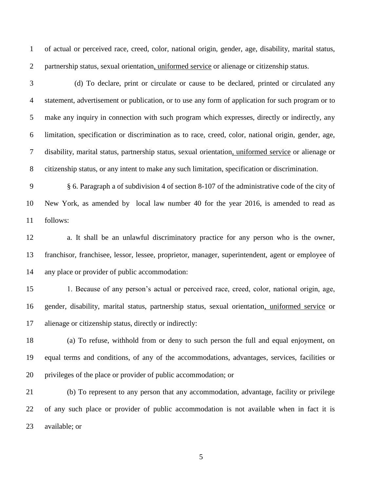of actual or perceived race, creed, color, national origin, gender, age, disability, marital status, partnership status, sexual orientation, uniformed service or alienage or citizenship status.

3 (d) To declare, print or circulate or cause to be declared, printed or circulated any statement, advertisement or publication, or to use any form of application for such program or to make any inquiry in connection with such program which expresses, directly or indirectly, any limitation, specification or discrimination as to race, creed, color, national origin, gender, age, disability, marital status, partnership status, sexual orientation, uniformed service or alienage or citizenship status, or any intent to make any such limitation, specification or discrimination.

 § 6. Paragraph a of subdivision 4 of section 8-107 of the administrative code of the city of New York, as amended by local law number 40 for the year 2016, is amended to read as follows:

 a. It shall be an unlawful discriminatory practice for any person who is the owner, franchisor, franchisee, lessor, lessee, proprietor, manager, superintendent, agent or employee of any place or provider of public accommodation:

 1. Because of any person's actual or perceived race, creed, color, national origin, age, gender, disability, marital status, partnership status, sexual orientation, uniformed service or alienage or citizenship status, directly or indirectly:

 (a) To refuse, withhold from or deny to such person the full and equal enjoyment, on equal terms and conditions, of any of the accommodations, advantages, services, facilities or privileges of the place or provider of public accommodation; or

 (b) To represent to any person that any accommodation, advantage, facility or privilege of any such place or provider of public accommodation is not available when in fact it is available; or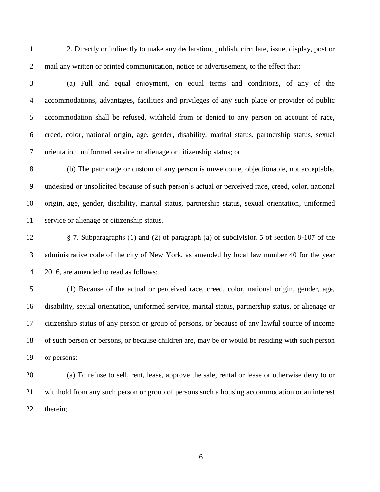2. Directly or indirectly to make any declaration, publish, circulate, issue, display, post or mail any written or printed communication, notice or advertisement, to the effect that:

 (a) Full and equal enjoyment, on equal terms and conditions, of any of the accommodations, advantages, facilities and privileges of any such place or provider of public accommodation shall be refused, withheld from or denied to any person on account of race, creed, color, national origin, age, gender, disability, marital status, partnership status, sexual orientation, uniformed service or alienage or citizenship status; or

 (b) The patronage or custom of any person is unwelcome, objectionable, not acceptable, undesired or unsolicited because of such person's actual or perceived race, creed, color, national origin, age, gender, disability, marital status, partnership status, sexual orientation, uniformed service or alienage or citizenship status.

 § 7. Subparagraphs (1) and (2) of paragraph (a) of subdivision 5 of section 8-107 of the administrative code of the city of New York, as amended by local law number 40 for the year 2016, are amended to read as follows:

 (1) Because of the actual or perceived race, creed, color, national origin, gender, age, disability, sexual orientation, uniformed service, marital status, partnership status, or alienage or citizenship status of any person or group of persons, or because of any lawful source of income of such person or persons, or because children are, may be or would be residing with such person or persons:

 (a) To refuse to sell, rent, lease, approve the sale, rental or lease or otherwise deny to or withhold from any such person or group of persons such a housing accommodation or an interest therein;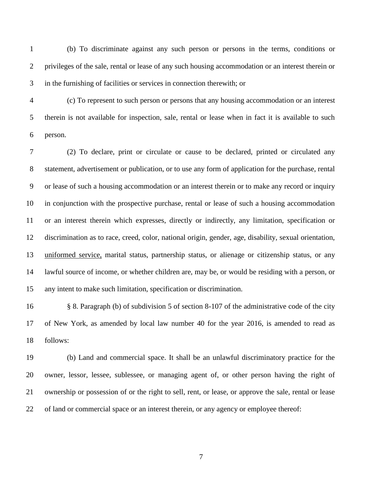(b) To discriminate against any such person or persons in the terms, conditions or privileges of the sale, rental or lease of any such housing accommodation or an interest therein or in the furnishing of facilities or services in connection therewith; or

 (c) To represent to such person or persons that any housing accommodation or an interest therein is not available for inspection, sale, rental or lease when in fact it is available to such person.

 (2) To declare, print or circulate or cause to be declared, printed or circulated any statement, advertisement or publication, or to use any form of application for the purchase, rental or lease of such a housing accommodation or an interest therein or to make any record or inquiry in conjunction with the prospective purchase, rental or lease of such a housing accommodation or an interest therein which expresses, directly or indirectly, any limitation, specification or discrimination as to race, creed, color, national origin, gender, age, disability, sexual orientation, uniformed service, marital status, partnership status, or alienage or citizenship status, or any lawful source of income, or whether children are, may be, or would be residing with a person, or any intent to make such limitation, specification or discrimination.

 § 8. Paragraph (b) of subdivision 5 of section 8-107 of the administrative code of the city of New York, as amended by local law number 40 for the year 2016, is amended to read as follows:

 (b) Land and commercial space. It shall be an unlawful discriminatory practice for the owner, lessor, lessee, sublessee, or managing agent of, or other person having the right of ownership or possession of or the right to sell, rent, or lease, or approve the sale, rental or lease of land or commercial space or an interest therein, or any agency or employee thereof: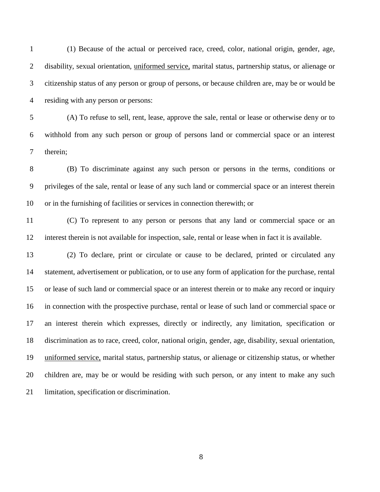(1) Because of the actual or perceived race, creed, color, national origin, gender, age, disability, sexual orientation, uniformed service, marital status, partnership status, or alienage or citizenship status of any person or group of persons, or because children are, may be or would be residing with any person or persons:

 (A) To refuse to sell, rent, lease, approve the sale, rental or lease or otherwise deny or to withhold from any such person or group of persons land or commercial space or an interest therein;

 (B) To discriminate against any such person or persons in the terms, conditions or privileges of the sale, rental or lease of any such land or commercial space or an interest therein or in the furnishing of facilities or services in connection therewith; or

 (C) To represent to any person or persons that any land or commercial space or an interest therein is not available for inspection, sale, rental or lease when in fact it is available.

 (2) To declare, print or circulate or cause to be declared, printed or circulated any statement, advertisement or publication, or to use any form of application for the purchase, rental or lease of such land or commercial space or an interest therein or to make any record or inquiry in connection with the prospective purchase, rental or lease of such land or commercial space or an interest therein which expresses, directly or indirectly, any limitation, specification or discrimination as to race, creed, color, national origin, gender, age, disability, sexual orientation, uniformed service, marital status, partnership status, or alienage or citizenship status, or whether children are, may be or would be residing with such person, or any intent to make any such limitation, specification or discrimination.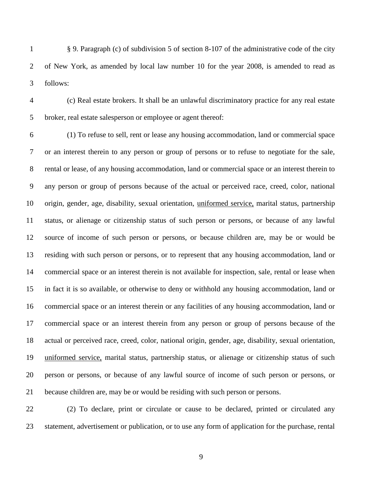§ 9. Paragraph (c) of subdivision 5 of section 8-107 of the administrative code of the city of New York, as amended by local law number 10 for the year 2008, is amended to read as follows:

 (c) Real estate brokers. It shall be an unlawful discriminatory practice for any real estate broker, real estate salesperson or employee or agent thereof:

 (1) To refuse to sell, rent or lease any housing accommodation, land or commercial space or an interest therein to any person or group of persons or to refuse to negotiate for the sale, rental or lease, of any housing accommodation, land or commercial space or an interest therein to any person or group of persons because of the actual or perceived race, creed, color, national origin, gender, age, disability, sexual orientation, uniformed service, marital status, partnership status, or alienage or citizenship status of such person or persons, or because of any lawful source of income of such person or persons, or because children are, may be or would be residing with such person or persons, or to represent that any housing accommodation, land or commercial space or an interest therein is not available for inspection, sale, rental or lease when in fact it is so available, or otherwise to deny or withhold any housing accommodation, land or commercial space or an interest therein or any facilities of any housing accommodation, land or commercial space or an interest therein from any person or group of persons because of the actual or perceived race, creed, color, national origin, gender, age, disability, sexual orientation, uniformed service, marital status, partnership status, or alienage or citizenship status of such person or persons, or because of any lawful source of income of such person or persons, or because children are, may be or would be residing with such person or persons.

 (2) To declare, print or circulate or cause to be declared, printed or circulated any statement, advertisement or publication, or to use any form of application for the purchase, rental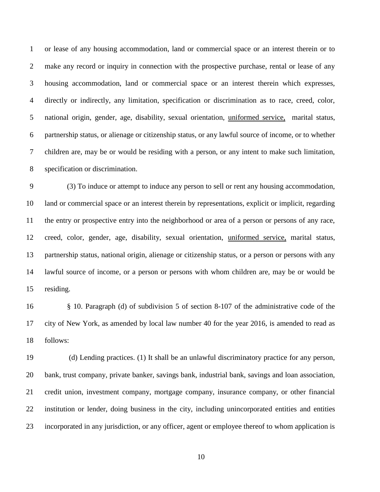or lease of any housing accommodation, land or commercial space or an interest therein or to make any record or inquiry in connection with the prospective purchase, rental or lease of any housing accommodation, land or commercial space or an interest therein which expresses, directly or indirectly, any limitation, specification or discrimination as to race, creed, color, national origin, gender, age, disability, sexual orientation, uniformed service, marital status, partnership status, or alienage or citizenship status, or any lawful source of income, or to whether children are, may be or would be residing with a person, or any intent to make such limitation, specification or discrimination.

 (3) To induce or attempt to induce any person to sell or rent any housing accommodation, land or commercial space or an interest therein by representations, explicit or implicit, regarding the entry or prospective entry into the neighborhood or area of a person or persons of any race, creed, color, gender, age, disability, sexual orientation, uniformed service, marital status, partnership status, national origin, alienage or citizenship status, or a person or persons with any lawful source of income, or a person or persons with whom children are, may be or would be residing.

 § 10. Paragraph (d) of subdivision 5 of section 8-107 of the administrative code of the city of New York, as amended by local law number 40 for the year 2016, is amended to read as follows:

 (d) Lending practices. (1) It shall be an unlawful discriminatory practice for any person, bank, trust company, private banker, savings bank, industrial bank, savings and loan association, credit union, investment company, mortgage company, insurance company, or other financial institution or lender, doing business in the city, including unincorporated entities and entities incorporated in any jurisdiction, or any officer, agent or employee thereof to whom application is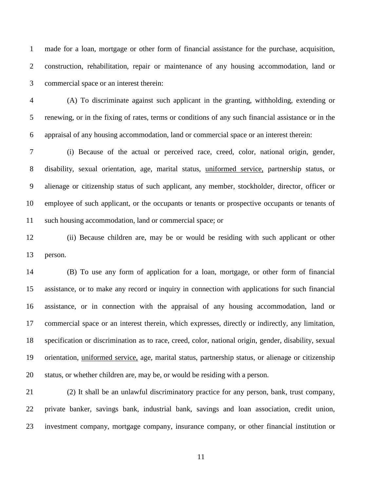made for a loan, mortgage or other form of financial assistance for the purchase, acquisition, construction, rehabilitation, repair or maintenance of any housing accommodation, land or commercial space or an interest therein:

 (A) To discriminate against such applicant in the granting, withholding, extending or renewing, or in the fixing of rates, terms or conditions of any such financial assistance or in the appraisal of any housing accommodation, land or commercial space or an interest therein:

 (i) Because of the actual or perceived race, creed, color, national origin, gender, disability, sexual orientation, age, marital status, uniformed service, partnership status, or alienage or citizenship status of such applicant, any member, stockholder, director, officer or employee of such applicant, or the occupants or tenants or prospective occupants or tenants of such housing accommodation, land or commercial space; or

 (ii) Because children are, may be or would be residing with such applicant or other person.

 (B) To use any form of application for a loan, mortgage, or other form of financial assistance, or to make any record or inquiry in connection with applications for such financial assistance, or in connection with the appraisal of any housing accommodation, land or commercial space or an interest therein, which expresses, directly or indirectly, any limitation, specification or discrimination as to race, creed, color, national origin, gender, disability, sexual orientation, uniformed service, age, marital status, partnership status, or alienage or citizenship status, or whether children are, may be, or would be residing with a person.

 (2) It shall be an unlawful discriminatory practice for any person, bank, trust company, private banker, savings bank, industrial bank, savings and loan association, credit union, investment company, mortgage company, insurance company, or other financial institution or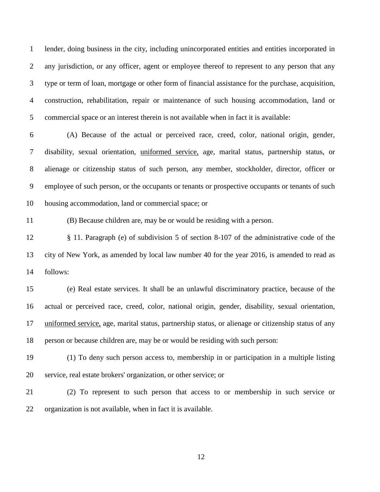lender, doing business in the city, including unincorporated entities and entities incorporated in any jurisdiction, or any officer, agent or employee thereof to represent to any person that any type or term of loan, mortgage or other form of financial assistance for the purchase, acquisition, construction, rehabilitation, repair or maintenance of such housing accommodation, land or commercial space or an interest therein is not available when in fact it is available:

 (A) Because of the actual or perceived race, creed, color, national origin, gender, disability, sexual orientation, uniformed service, age, marital status, partnership status, or alienage or citizenship status of such person, any member, stockholder, director, officer or employee of such person, or the occupants or tenants or prospective occupants or tenants of such housing accommodation, land or commercial space; or

(B) Because children are, may be or would be residing with a person.

 § 11. Paragraph (e) of subdivision 5 of section 8-107 of the administrative code of the city of New York, as amended by local law number 40 for the year 2016, is amended to read as follows:

 (e) Real estate services. It shall be an unlawful discriminatory practice, because of the actual or perceived race, creed, color, national origin, gender, disability, sexual orientation, uniformed service, age, marital status, partnership status, or alienage or citizenship status of any person or because children are, may be or would be residing with such person:

 (1) To deny such person access to, membership in or participation in a multiple listing service, real estate brokers' organization, or other service; or

 (2) To represent to such person that access to or membership in such service or organization is not available, when in fact it is available.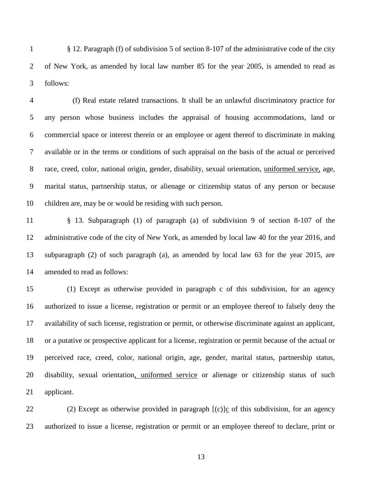§ 12. Paragraph (f) of subdivision 5 of section 8-107 of the administrative code of the city of New York, as amended by local law number 85 for the year 2005, is amended to read as follows:

4 (f) Real estate related transactions. It shall be an unlawful discriminatory practice for any person whose business includes the appraisal of housing accommodations, land or commercial space or interest therein or an employee or agent thereof to discriminate in making available or in the terms or conditions of such appraisal on the basis of the actual or perceived race, creed, color, national origin, gender, disability, sexual orientation, uniformed service, age, marital status, partnership status, or alienage or citizenship status of any person or because children are, may be or would be residing with such person.

 § 13. Subparagraph (1) of paragraph (a) of subdivision 9 of section 8-107 of the administrative code of the city of New York, as amended by local law 40 for the year 2016, and subparagraph (2) of such paragraph (a), as amended by local law 63 for the year 2015, are amended to read as follows:

 (1) Except as otherwise provided in paragraph c of this subdivision, for an agency authorized to issue a license, registration or permit or an employee thereof to falsely deny the availability of such license, registration or permit, or otherwise discriminate against an applicant, or a putative or prospective applicant for a license, registration or permit because of the actual or perceived race, creed, color, national origin, age, gender, marital status, partnership status, disability, sexual orientation, uniformed service or alienage or citizenship status of such applicant.

 (2) Except as otherwise provided in paragraph [(c)]c of this subdivision, for an agency authorized to issue a license, registration or permit or an employee thereof to declare, print or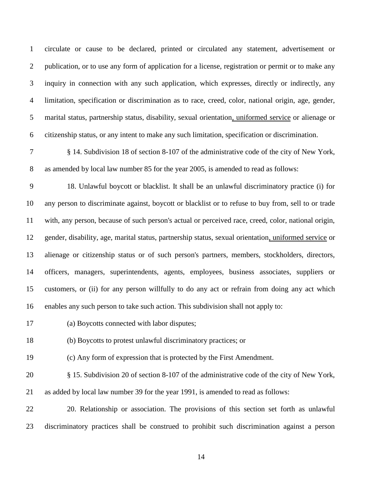circulate or cause to be declared, printed or circulated any statement, advertisement or publication, or to use any form of application for a license, registration or permit or to make any inquiry in connection with any such application, which expresses, directly or indirectly, any limitation, specification or discrimination as to race, creed, color, national origin, age, gender, marital status, partnership status, disability, sexual orientation, uniformed service or alienage or citizenship status, or any intent to make any such limitation, specification or discrimination.

 § 14. Subdivision 18 of section 8-107 of the administrative code of the city of New York, as amended by local law number 85 for the year 2005, is amended to read as follows:

 18. Unlawful boycott or blacklist. It shall be an unlawful discriminatory practice (i) for any person to discriminate against, boycott or blacklist or to refuse to buy from, sell to or trade with, any person, because of such person's actual or perceived race, creed, color, national origin, gender, disability, age, marital status, partnership status, sexual orientation, uniformed service or alienage or citizenship status or of such person's partners, members, stockholders, directors, officers, managers, superintendents, agents, employees, business associates, suppliers or customers, or (ii) for any person willfully to do any act or refrain from doing any act which enables any such person to take such action. This subdivision shall not apply to:

(a) Boycotts connected with labor disputes;

(b) Boycotts to protest unlawful discriminatory practices; or

(c) Any form of expression that is protected by the First Amendment.

 § 15. Subdivision 20 of section 8-107 of the administrative code of the city of New York, as added by local law number 39 for the year 1991, is amended to read as follows:

 20. Relationship or association. The provisions of this section set forth as unlawful discriminatory practices shall be construed to prohibit such discrimination against a person